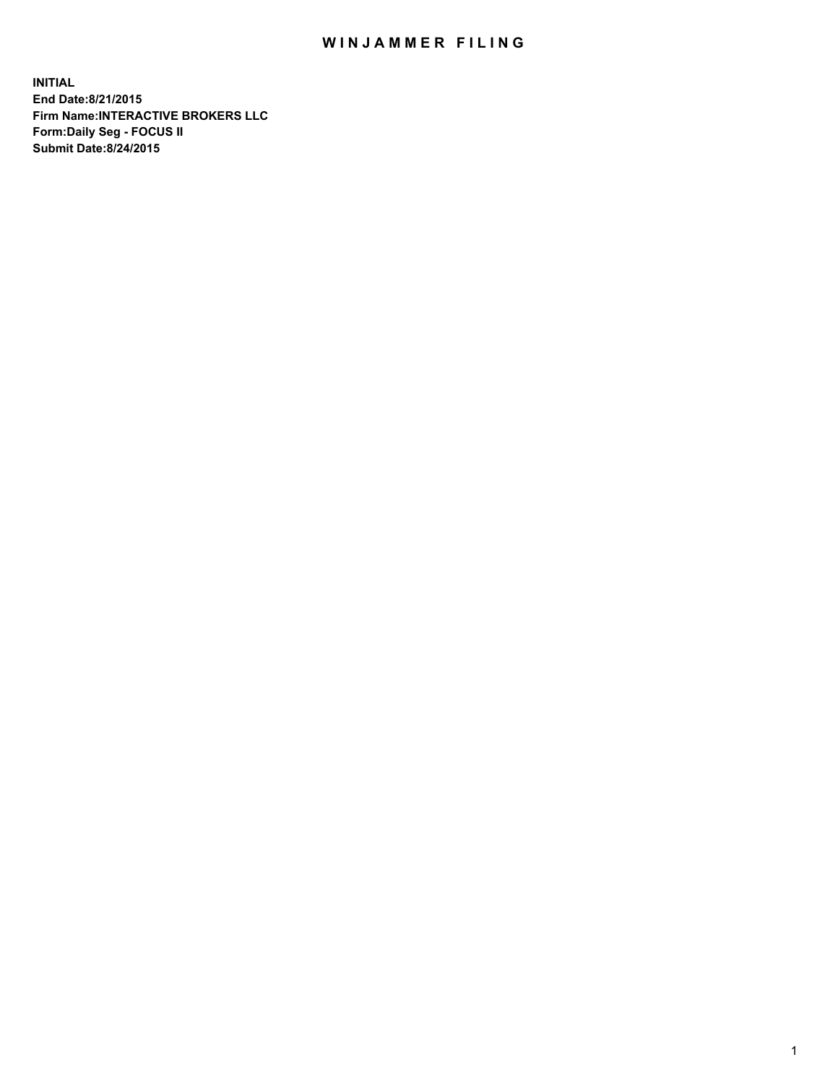## WIN JAMMER FILING

**INITIAL End Date:8/21/2015 Firm Name:INTERACTIVE BROKERS LLC Form:Daily Seg - FOCUS II Submit Date:8/24/2015**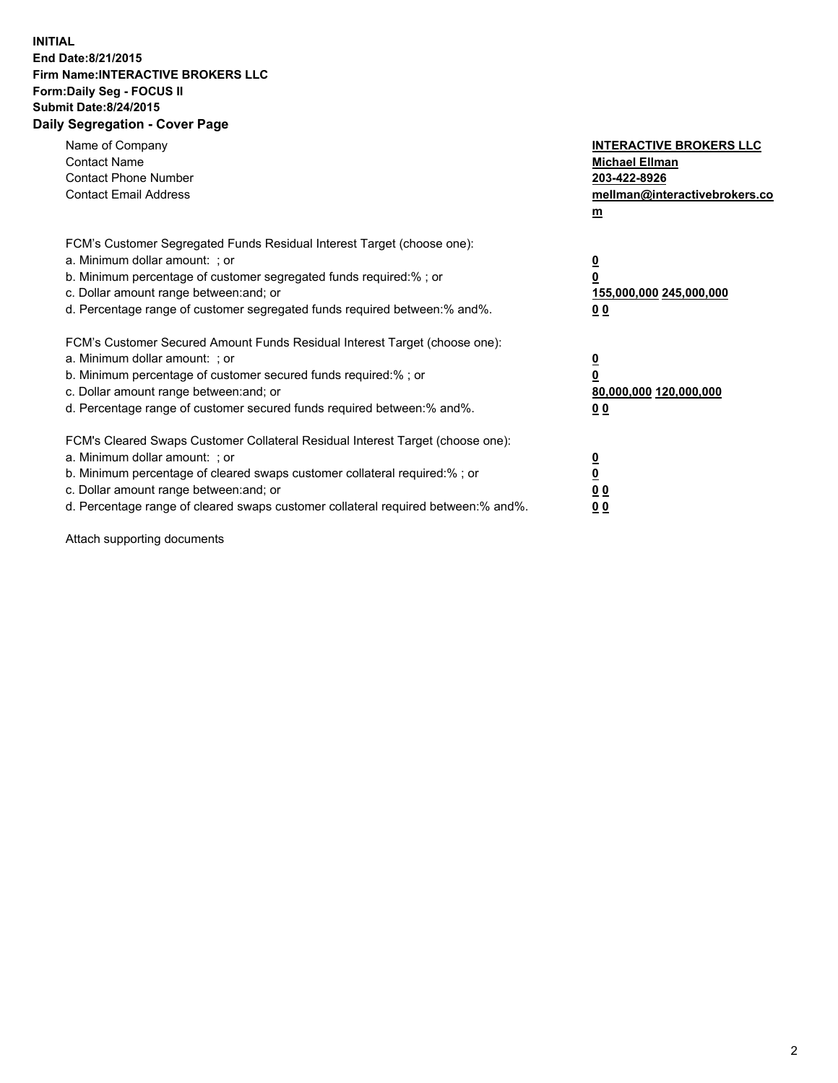## **INITIAL End Date:8/21/2015 Firm Name:INTERACTIVE BROKERS LLC Form:Daily Seg - FOCUS II Submit Date:8/24/2015 Daily Segregation - Cover Page**

| Name of Company<br><b>Contact Name</b><br><b>Contact Phone Number</b><br><b>Contact Email Address</b>                                                                                                                                                                                                                          | <b>INTERACTIVE BROKERS LLC</b><br><b>Michael Ellman</b><br>203-422-8926<br>mellman@interactivebrokers.co<br>$m$ |
|--------------------------------------------------------------------------------------------------------------------------------------------------------------------------------------------------------------------------------------------------------------------------------------------------------------------------------|-----------------------------------------------------------------------------------------------------------------|
| FCM's Customer Segregated Funds Residual Interest Target (choose one):<br>a. Minimum dollar amount: ; or<br>b. Minimum percentage of customer segregated funds required:% ; or<br>c. Dollar amount range between: and; or<br>d. Percentage range of customer segregated funds required between: % and %.                       | $\overline{\mathbf{0}}$<br>0<br>155,000,000 245,000,000<br>00                                                   |
| FCM's Customer Secured Amount Funds Residual Interest Target (choose one):<br>a. Minimum dollar amount: ; or<br>b. Minimum percentage of customer secured funds required:%; or<br>c. Dollar amount range between: and; or<br>d. Percentage range of customer secured funds required between: % and %.                          | $\overline{\mathbf{0}}$<br>0<br>80,000,000 120,000,000<br>0 <sub>0</sub>                                        |
| FCM's Cleared Swaps Customer Collateral Residual Interest Target (choose one):<br>a. Minimum dollar amount: ; or<br>b. Minimum percentage of cleared swaps customer collateral required:% ; or<br>c. Dollar amount range between: and; or<br>d. Percentage range of cleared swaps customer collateral required between:% and%. | $\overline{\mathbf{0}}$<br>$\underline{\mathbf{0}}$<br>0 <sub>0</sub><br>0 <sub>0</sub>                         |

Attach supporting documents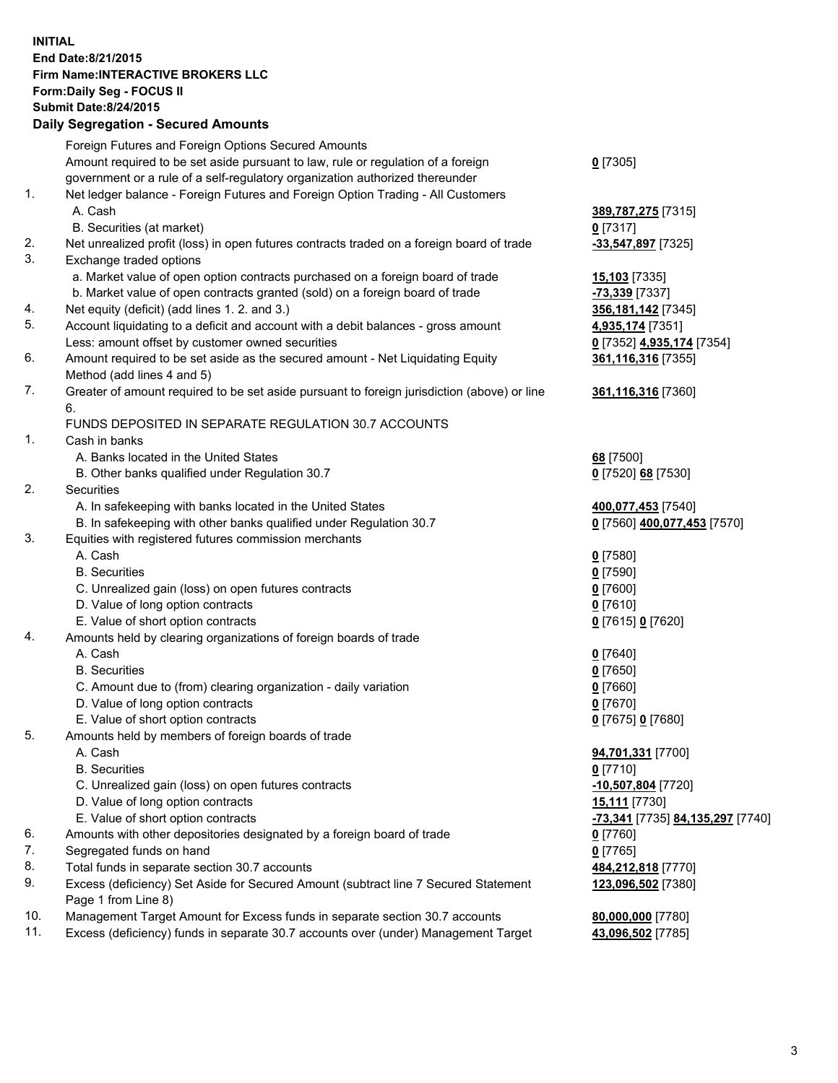## **INITIAL End Date:8/21/2015 Firm Name:INTERACTIVE BROKERS LLC Form:Daily Seg - FOCUS II Submit Date:8/24/2015 Daily Segregation - Secured Amounts**

|     | Daily Ocglegation - Occuled Amounts                                                                        |                                  |
|-----|------------------------------------------------------------------------------------------------------------|----------------------------------|
|     | Foreign Futures and Foreign Options Secured Amounts                                                        |                                  |
|     | Amount required to be set aside pursuant to law, rule or regulation of a foreign                           | $0$ [7305]                       |
|     | government or a rule of a self-regulatory organization authorized thereunder                               |                                  |
| 1.  | Net ledger balance - Foreign Futures and Foreign Option Trading - All Customers                            |                                  |
|     | A. Cash                                                                                                    | 389,787,275 [7315]               |
|     | B. Securities (at market)                                                                                  | $0$ [7317]                       |
| 2.  | Net unrealized profit (loss) in open futures contracts traded on a foreign board of trade                  | -33,547,897 [7325]               |
| 3.  | Exchange traded options                                                                                    |                                  |
|     | a. Market value of open option contracts purchased on a foreign board of trade                             | 15,103 [7335]                    |
|     | b. Market value of open contracts granted (sold) on a foreign board of trade                               | -73,339 [7337]                   |
| 4.  | Net equity (deficit) (add lines 1.2. and 3.)                                                               | 356, 181, 142 [7345]             |
| 5.  | Account liquidating to a deficit and account with a debit balances - gross amount                          | 4,935,174 [7351]                 |
|     | Less: amount offset by customer owned securities                                                           | 0 [7352] 4,935,174 [7354]        |
| 6.  | Amount required to be set aside as the secured amount - Net Liquidating Equity                             | 361,116,316 [7355]               |
|     | Method (add lines 4 and 5)                                                                                 |                                  |
| 7.  | Greater of amount required to be set aside pursuant to foreign jurisdiction (above) or line                | 361,116,316 [7360]               |
|     | 6.                                                                                                         |                                  |
|     | FUNDS DEPOSITED IN SEPARATE REGULATION 30.7 ACCOUNTS                                                       |                                  |
| 1.  | Cash in banks                                                                                              |                                  |
|     | A. Banks located in the United States                                                                      | 68 [7500]                        |
|     | B. Other banks qualified under Regulation 30.7                                                             | 0 [7520] 68 [7530]               |
| 2.  | Securities                                                                                                 |                                  |
|     | A. In safekeeping with banks located in the United States                                                  | 400,077,453 [7540]               |
|     | B. In safekeeping with other banks qualified under Regulation 30.7                                         | 0 [7560] 400,077,453 [7570]      |
| 3.  | Equities with registered futures commission merchants                                                      |                                  |
|     | A. Cash                                                                                                    | $0$ [7580]                       |
|     | <b>B.</b> Securities                                                                                       | $0$ [7590]                       |
|     | C. Unrealized gain (loss) on open futures contracts                                                        | $0$ [7600]                       |
|     | D. Value of long option contracts                                                                          | $0$ [7610]                       |
|     | E. Value of short option contracts                                                                         | 0 [7615] 0 [7620]                |
| 4.  | Amounts held by clearing organizations of foreign boards of trade                                          |                                  |
|     | A. Cash                                                                                                    | $0$ [7640]                       |
|     | <b>B.</b> Securities                                                                                       | $0$ [7650]                       |
|     | C. Amount due to (from) clearing organization - daily variation                                            | $0$ [7660]                       |
|     | D. Value of long option contracts                                                                          | $0$ [7670]                       |
|     | E. Value of short option contracts                                                                         | 0 [7675] 0 [7680]                |
| 5.  | Amounts held by members of foreign boards of trade                                                         |                                  |
|     | A. Cash                                                                                                    | 94,701,331 [7700]                |
|     | <b>B.</b> Securities                                                                                       | $0$ [7710]                       |
|     | C. Unrealized gain (loss) on open futures contracts                                                        | -10,507,804 [7720]               |
|     | D. Value of long option contracts                                                                          | 15,111 [7730]                    |
|     | E. Value of short option contracts                                                                         | -73,341 [7735] 84,135,297 [7740] |
| 6.  | Amounts with other depositories designated by a foreign board of trade                                     | 0 [7760]                         |
| 7.  | Segregated funds on hand                                                                                   | $0$ [7765]                       |
| 8.  | Total funds in separate section 30.7 accounts                                                              | 484,212,818 [7770]               |
| 9.  | Excess (deficiency) Set Aside for Secured Amount (subtract line 7 Secured Statement<br>Page 1 from Line 8) | 123,096,502 [7380]               |
| 10. | Management Target Amount for Excess funds in separate section 30.7 accounts                                | 80,000,000 [7780]                |
| 11. | Excess (deficiency) funds in separate 30.7 accounts over (under) Management Target                         | 43,096,502 [7785]                |
|     |                                                                                                            |                                  |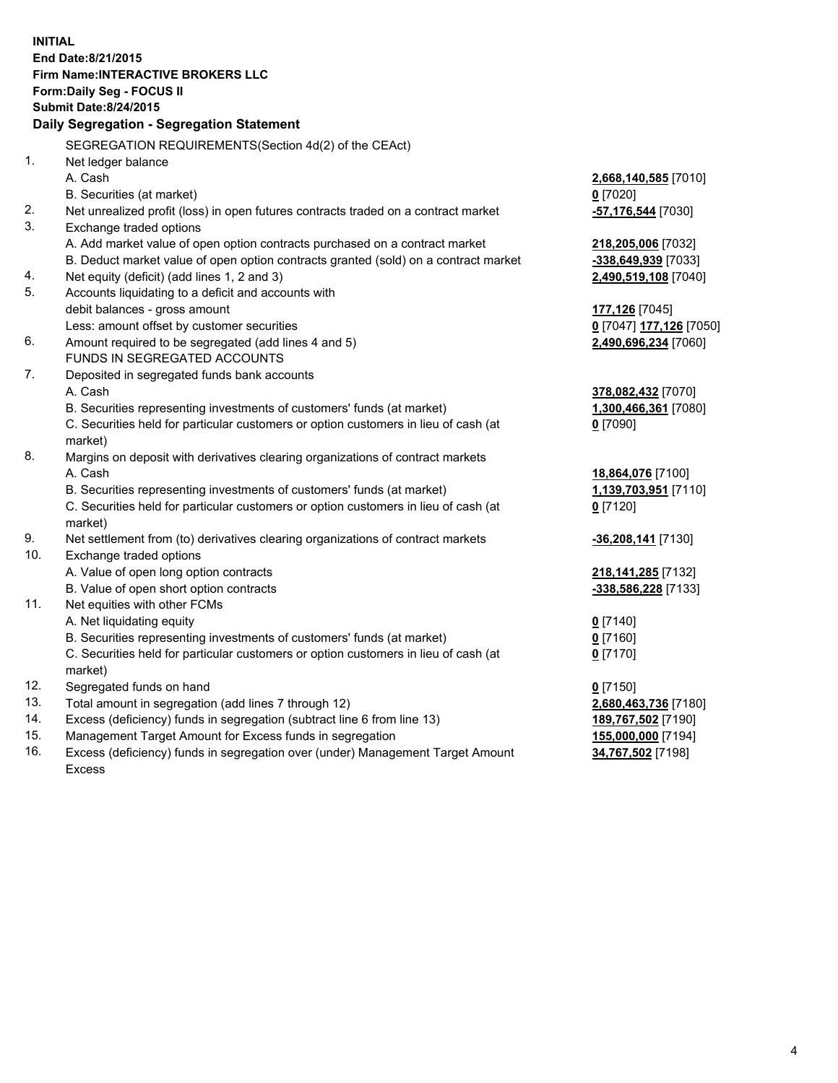**INITIAL End Date:8/21/2015 Firm Name:INTERACTIVE BROKERS LLC Form:Daily Seg - FOCUS II Submit Date:8/24/2015 Daily Segregation - Segregation Statement** SEGREGATION REQUIREMENTS(Section 4d(2) of the CEAct) 1. Net ledger balance A. Cash **2,668,140,585** [7010] B. Securities (at market) **0** [7020] 2. Net unrealized profit (loss) in open futures contracts traded on a contract market **-57,176,544** [7030] 3. Exchange traded options A. Add market value of open option contracts purchased on a contract market **218,205,006** [7032] B. Deduct market value of open option contracts granted (sold) on a contract market **-338,649,939** [7033] 4. Net equity (deficit) (add lines 1, 2 and 3) **2,490,519,108** [7040] 5. Accounts liquidating to a deficit and accounts with debit balances - gross amount **177,126** [7045] Less: amount offset by customer securities **0** [7047] **177,126** [7050] 6. Amount required to be segregated (add lines 4 and 5) **2,490,696,234** [7060] FUNDS IN SEGREGATED ACCOUNTS 7. Deposited in segregated funds bank accounts A. Cash **378,082,432** [7070] B. Securities representing investments of customers' funds (at market) **1,300,466,361** [7080] C. Securities held for particular customers or option customers in lieu of cash (at market) **0** [7090] 8. Margins on deposit with derivatives clearing organizations of contract markets A. Cash **18,864,076** [7100] B. Securities representing investments of customers' funds (at market) **1,139,703,951** [7110] C. Securities held for particular customers or option customers in lieu of cash (at market) **0** [7120] 9. Net settlement from (to) derivatives clearing organizations of contract markets **-36,208,141** [7130] 10. Exchange traded options A. Value of open long option contracts **218,141,285** [7132] B. Value of open short option contracts **-338,586,228** [7133] 11. Net equities with other FCMs A. Net liquidating equity **0** [7140] B. Securities representing investments of customers' funds (at market) **0** [7160] C. Securities held for particular customers or option customers in lieu of cash (at market) **0** [7170] 12. Segregated funds on hand **0** [7150] 13. Total amount in segregation (add lines 7 through 12) **2,680,463,736** [7180] 14. Excess (deficiency) funds in segregation (subtract line 6 from line 13) **189,767,502** [7190] 15. Management Target Amount for Excess funds in segregation **155,000,000** [7194]

16. Excess (deficiency) funds in segregation over (under) Management Target Amount Excess

**34,767,502** [7198]